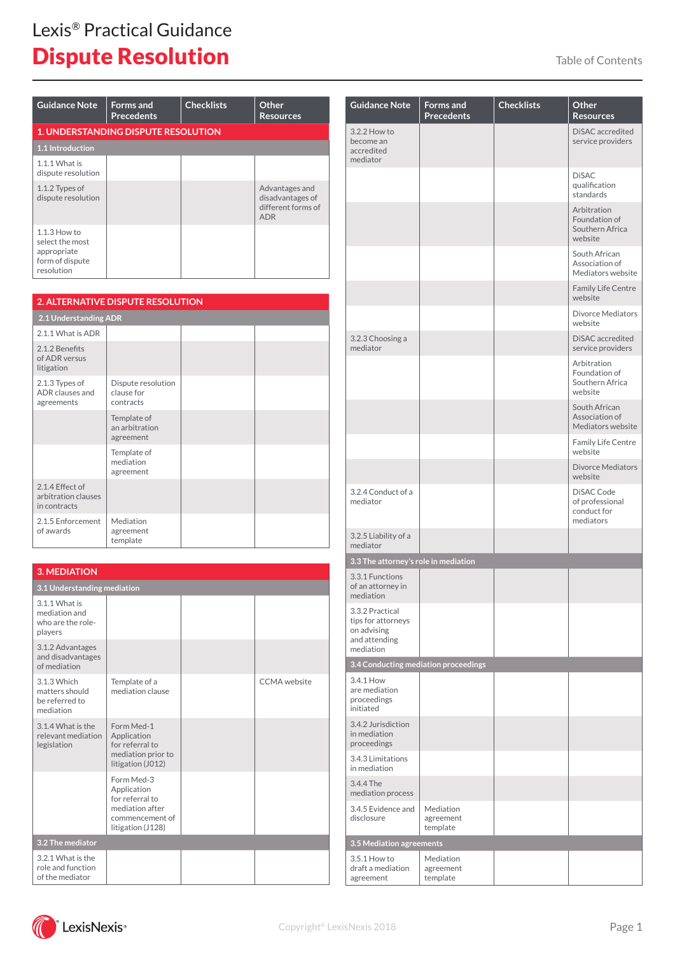| <b>Guidance Note</b>                                                              | <b>Forms</b> and<br><b>Precedents</b>      | <b>Checklists</b> | Other<br><b>Resources</b>                                              |
|-----------------------------------------------------------------------------------|--------------------------------------------|-------------------|------------------------------------------------------------------------|
|                                                                                   | <b>1. UNDERSTANDING DISPUTE RESOLUTION</b> |                   |                                                                        |
| <b>1.1 Introduction</b>                                                           |                                            |                   |                                                                        |
| $1.1.1$ What is<br>dispute resolution                                             |                                            |                   |                                                                        |
| 1.1.2 Types of<br>dispute resolution                                              |                                            |                   | Advantages and<br>disadvantages of<br>different forms of<br><b>ADR</b> |
| $1.1.3$ How to<br>select the most<br>appropriate<br>form of dispute<br>resolution |                                            |                   |                                                                        |

|                                                        | <b>2. ALTERNATIVE DISPUTE RESOLUTION</b>      |  |  |
|--------------------------------------------------------|-----------------------------------------------|--|--|
| 2.1 Understanding ADR                                  |                                               |  |  |
| 2.1.1 What is ADR                                      |                                               |  |  |
| 2.1.2 Benefits<br>of ADR versus<br>litigation          |                                               |  |  |
| 2.1.3 Types of<br>ADR clauses and<br>agreements        | Dispute resolution<br>clause for<br>contracts |  |  |
|                                                        | Template of<br>an arbitration<br>agreement    |  |  |
|                                                        | Template of<br>mediation<br>agreement         |  |  |
| 2.1.4 Effect of<br>arbitration clauses<br>in contracts |                                               |  |  |
| 2.1.5 Enforcement<br>of awards                         | Mediation<br>agreement<br>template            |  |  |

| <b>3. MEDIATION</b>                                            |                                                                                                         |  |              |
|----------------------------------------------------------------|---------------------------------------------------------------------------------------------------------|--|--------------|
| 3.1 Understanding mediation                                    |                                                                                                         |  |              |
| 3.1.1 What is<br>mediation and<br>who are the role-<br>players |                                                                                                         |  |              |
| 3.1.2 Advantages<br>and disadvantages<br>of mediation          |                                                                                                         |  |              |
| 3.1.3 Which<br>matters should<br>be referred to<br>mediation   | Template of a<br>mediation clause                                                                       |  | CCMA website |
| 3.1.4 What is the<br>relevant mediation<br>legislation         | Form Med-1<br>Application<br>for referral to<br>mediation prior to<br>litigation (J012)                 |  |              |
|                                                                | Form Med-3<br>Application<br>for referral to<br>mediation after<br>commencement of<br>litigation (J128) |  |              |
| 3.2 The mediator                                               |                                                                                                         |  |              |
| 3.2.1 What is the<br>role and function<br>of the mediator      |                                                                                                         |  |              |

| <b>Guidance Note</b>                                                               | <b>Forms</b> and<br><b>Precedents</b> | <b>Checklists</b> | Other<br><b>Resources</b>                                  |
|------------------------------------------------------------------------------------|---------------------------------------|-------------------|------------------------------------------------------------|
| 3.2.2 How to<br>become an<br>accredited<br>mediator                                |                                       |                   | DiSAC accredited<br>service providers                      |
|                                                                                    |                                       |                   | <b>DiSAC</b><br>qualification<br>standards                 |
|                                                                                    |                                       |                   | Arbitration<br>Foundation of<br>Southern Africa<br>website |
|                                                                                    |                                       |                   | South African<br>Association of<br>Mediators website       |
|                                                                                    |                                       |                   | <b>Family Life Centre</b><br>website                       |
|                                                                                    |                                       |                   | Divorce Mediators<br>website                               |
| 3.2.3 Choosing a<br>mediator                                                       |                                       |                   | DiSAC accredited<br>service providers                      |
|                                                                                    |                                       |                   | Arbitration<br>Foundation of<br>Southern Africa<br>website |
|                                                                                    |                                       |                   | South African<br>Association of<br>Mediators website       |
|                                                                                    |                                       |                   | <b>Family Life Centre</b><br>website                       |
|                                                                                    |                                       |                   | <b>Divorce Mediators</b><br>website                        |
| 3.2.4 Conduct of a<br>mediator                                                     |                                       |                   | DiSAC Code<br>of professional<br>conduct for<br>mediators  |
| 3.2.5 Liability of a<br>mediator                                                   |                                       |                   |                                                            |
| 3.3 The attorney's role in mediation                                               |                                       |                   |                                                            |
| 3.3.1 Functions<br>of an attorney in<br>mediation                                  |                                       |                   |                                                            |
| 3.3.2 Practical<br>tips for attorneys<br>on advising<br>and attending<br>mediation |                                       |                   |                                                            |
| 3.4 Conducting mediation proceedings                                               |                                       |                   |                                                            |
| 3.4.1 How<br>are mediation<br>proceedings<br>initiated                             |                                       |                   |                                                            |
| 3.4.2 Jurisdiction<br>in mediation<br>proceedings                                  |                                       |                   |                                                            |
| 3.4.3 Limitations<br>in mediation                                                  |                                       |                   |                                                            |
| 3.4.4 The<br>mediation process                                                     |                                       |                   |                                                            |
| 3.4.5 Evidence and<br>disclosure                                                   | Mediation<br>agreement<br>template    |                   |                                                            |
| 3.5 Mediation agreements                                                           |                                       |                   |                                                            |
| 3.5.1 How to<br>draft a mediation<br>agreement                                     | Mediation<br>agreement<br>template    |                   |                                                            |

 $\cdot$  LexisNexis  $\mathscr{C}$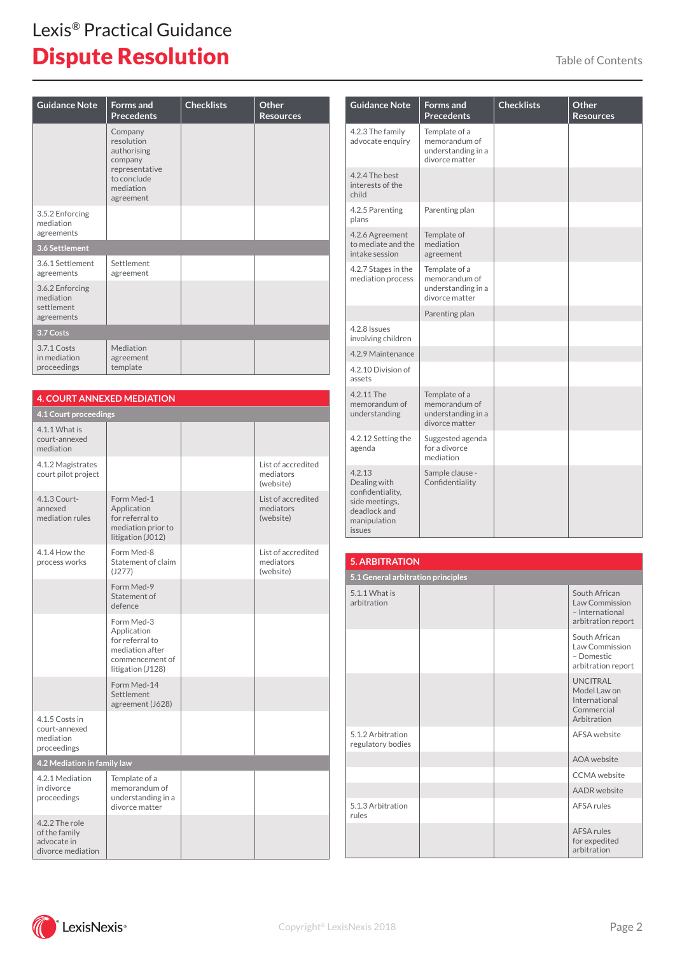| <b>Guidance Note</b>                                     | <b>Forms</b> and<br><b>Precedents</b>                                                                      | <b>Checklists</b> | Other<br><b>Resources</b> |
|----------------------------------------------------------|------------------------------------------------------------------------------------------------------------|-------------------|---------------------------|
|                                                          | Company<br>resolution<br>authorising<br>company<br>representative<br>to conclude<br>mediation<br>agreement |                   |                           |
| 3.5.2 Enforcing<br>mediation<br>agreements               |                                                                                                            |                   |                           |
| 3.6 Settlement                                           |                                                                                                            |                   |                           |
| 3.6.1 Settlement<br>agreements                           | Settlement<br>agreement                                                                                    |                   |                           |
| 3.6.2 Enforcing<br>mediation<br>settlement<br>agreements |                                                                                                            |                   |                           |
| 3.7 Costs                                                |                                                                                                            |                   |                           |
| 3.7.1 Costs<br>in mediation<br>proceedings               | Mediation<br>agreement<br>template                                                                         |                   |                           |

| <b>4. COURT ANNEXED MEDIATION</b>                                   |                                                                                                         |                                              |
|---------------------------------------------------------------------|---------------------------------------------------------------------------------------------------------|----------------------------------------------|
| 4.1 Court proceedings                                               |                                                                                                         |                                              |
| 4.1.1 What is<br>court-annexed<br>mediation                         |                                                                                                         |                                              |
| 4.1.2 Magistrates<br>court pilot project                            |                                                                                                         | List of accredited<br>mediators<br>(website) |
| 4.1.3 Court-<br>annexed<br>mediation rules                          | Form Med-1<br>Application<br>for referral to<br>mediation prior to<br>litigation (J012)                 | List of accredited<br>mediators<br>(website) |
| 4.1.4 How the<br>process works                                      | Form Med-8<br>Statement of claim<br>(J277)                                                              | List of accredited<br>mediators<br>(website) |
|                                                                     | Form Med-9<br>Statement of<br>defence                                                                   |                                              |
|                                                                     | Form Med-3<br>Application<br>for referral to<br>mediation after<br>commencement of<br>litigation (J128) |                                              |
|                                                                     | Form Med-14<br>Settlement<br>agreement (J628)                                                           |                                              |
| 4.1.5 Costs in<br>court-annexed<br>mediation<br>proceedings         |                                                                                                         |                                              |
| 4.2 Mediation in family law                                         |                                                                                                         |                                              |
| 4.2.1 Mediation<br>in divorce<br>proceedings                        | Template of a<br>memorandum of<br>understanding in a<br>divorce matter                                  |                                              |
| 4.2.2 The role<br>of the family<br>advocate in<br>divorce mediation |                                                                                                         |                                              |

| <b>Guidance Note</b>                                                                                   | <b>Forms</b> and<br><b>Precedents</b>                                  | <b>Checklists</b> | Other<br><b>Resources</b> |
|--------------------------------------------------------------------------------------------------------|------------------------------------------------------------------------|-------------------|---------------------------|
| 4.2.3 The family<br>advocate enguiry                                                                   | Template of a<br>memorandum of<br>understanding in a<br>divorce matter |                   |                           |
| 4.2.4 The best<br>interests of the<br>child                                                            |                                                                        |                   |                           |
| 4.2.5 Parenting<br>plans                                                                               | Parenting plan                                                         |                   |                           |
| 4.2.6 Agreement<br>to mediate and the<br>intake session                                                | Template of<br>mediation<br>agreement                                  |                   |                           |
| 4.2.7 Stages in the<br>mediation process                                                               | Template of a<br>memorandum of<br>understanding in a<br>divorce matter |                   |                           |
|                                                                                                        | Parenting plan                                                         |                   |                           |
| 4.2.8 Issues<br>involving children                                                                     |                                                                        |                   |                           |
| 4.2.9 Maintenance                                                                                      |                                                                        |                   |                           |
| 4.2.10 Division of<br>assets                                                                           |                                                                        |                   |                           |
| 4.2.11 The<br>memorandum of<br>understanding                                                           | Template of a<br>memorandum of<br>understanding in a<br>divorce matter |                   |                           |
| 4.2.12 Setting the<br>agenda                                                                           | Suggested agenda<br>for a divorce<br>mediation                         |                   |                           |
| 4.2.13<br>Dealing with<br>confidentiality,<br>side meetings.<br>deadlock and<br>manipulation<br>issues | Sample clause -<br>Confidentiality                                     |                   |                           |

| <b>5. ARBITRATION</b>                  |  |  |                                                                               |
|----------------------------------------|--|--|-------------------------------------------------------------------------------|
| 5.1 General arbitration principles     |  |  |                                                                               |
| 5.1.1 What is<br>arbitration           |  |  | South African<br>Law Commission<br>- International<br>arbitration report      |
|                                        |  |  | South African<br>Law Commission<br>- Domestic<br>arbitration report           |
|                                        |  |  | <b>UNCITRAL</b><br>Model Law on<br>International<br>Commercial<br>Arbitration |
| 5.1.2 Arbitration<br>regulatory bodies |  |  | AFSA website                                                                  |
|                                        |  |  | AOA website                                                                   |
|                                        |  |  | CCMA website                                                                  |
|                                        |  |  | <b>AADR</b> website                                                           |
| 5.1.3 Arbitration<br>rules             |  |  | AFSA rules                                                                    |
|                                        |  |  | AFSA rules<br>for expedited<br>arbitration                                    |

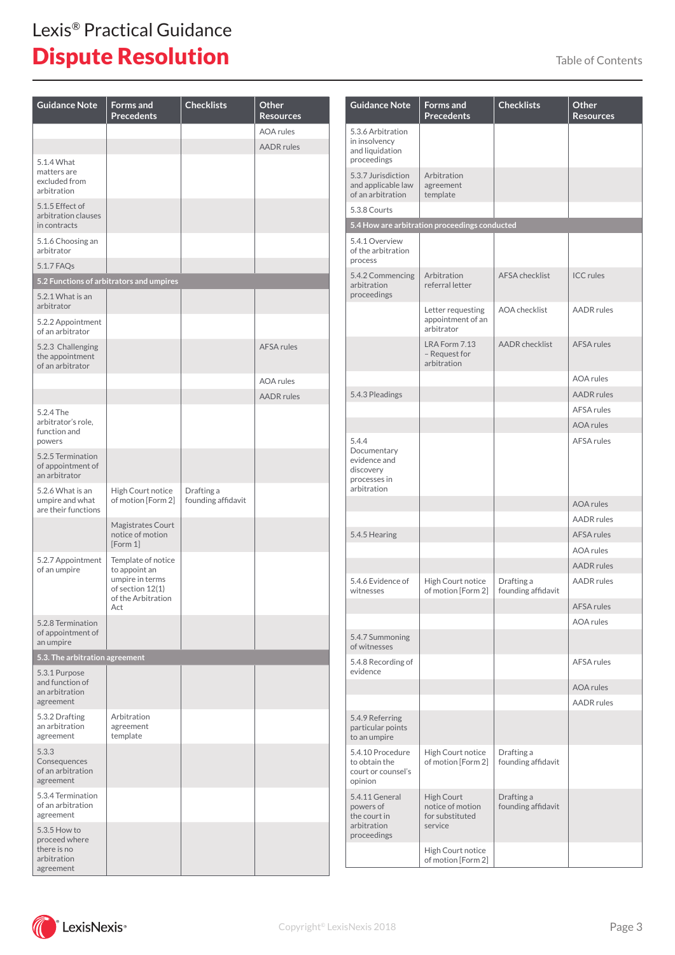| <b>Guidance Note</b>                                                     | <b>Forms and</b><br><b>Precedents</b>                                                                   | <b>Checklists</b>                | Other<br><b>Resources</b> |
|--------------------------------------------------------------------------|---------------------------------------------------------------------------------------------------------|----------------------------------|---------------------------|
|                                                                          |                                                                                                         |                                  | <b>AOA</b> rules          |
|                                                                          |                                                                                                         |                                  | <b>AADR</b> rules         |
| 5.1.4 What<br>matters are<br>excluded from<br>arbitration                |                                                                                                         |                                  |                           |
| 5.1.5 Effect of<br>arbitration clauses<br>in contracts                   |                                                                                                         |                                  |                           |
| 5.1.6 Choosing an<br>arbitrator                                          |                                                                                                         |                                  |                           |
| 5.1.7 FAQs                                                               |                                                                                                         |                                  |                           |
|                                                                          | 5.2 Functions of arbitrators and umpires                                                                |                                  |                           |
| 5.2.1 What is an<br>arbitrator                                           |                                                                                                         |                                  |                           |
| 5.2.2 Appointment<br>of an arbitrator                                    |                                                                                                         |                                  |                           |
| 5.2.3 Challenging<br>the appointment<br>of an arbitrator                 |                                                                                                         |                                  | <b>AFSA rules</b>         |
|                                                                          |                                                                                                         |                                  | AOA rules                 |
|                                                                          |                                                                                                         |                                  | <b>AADR</b> rules         |
| 5.2.4 The<br>arbitrator's role,<br>function and<br>powers                |                                                                                                         |                                  |                           |
| 5.2.5 Termination<br>of appointment of<br>an arbitrator                  |                                                                                                         |                                  |                           |
| 5.2.6 What is an<br>umpire and what<br>are their functions               | High Court notice<br>of motion [Form 2]                                                                 | Drafting a<br>founding affidavit |                           |
|                                                                          | Magistrates Court<br>notice of motion<br>[Form 1]                                                       |                                  |                           |
| 5.2.7 Appointment<br>of an umpire                                        | Template of notice<br>to appoint an<br>umpire in terms<br>of section 12(1)<br>of the Arbitration<br>Act |                                  |                           |
| 5.2.8 Termination<br>of appointment of<br>an umpire                      |                                                                                                         |                                  |                           |
| 5.3. The arbitration agreement                                           |                                                                                                         |                                  |                           |
| 5.3.1 Purpose<br>and function of<br>an arbitration<br>agreement          |                                                                                                         |                                  |                           |
| 5.3.2 Drafting<br>an arbitration<br>agreement                            | Arbitration<br>agreement<br>template                                                                    |                                  |                           |
| 5.3.3<br>Consequences<br>of an arbitration<br>agreement                  |                                                                                                         |                                  |                           |
| 5.3.4 Termination<br>of an arbitration<br>agreement                      |                                                                                                         |                                  |                           |
| 5.3.5 How to<br>proceed where<br>there is no<br>arbitration<br>agreement |                                                                                                         |                                  |                           |

| <b>Guidance Note</b>                                                             | <b>Forms and</b><br><b>Precedents</b>                        | <b>Checklists</b>                | Other<br><b>Resources</b> |
|----------------------------------------------------------------------------------|--------------------------------------------------------------|----------------------------------|---------------------------|
| 5.3.6 Arbitration<br>in insolvency<br>and liquidation<br>proceedings             |                                                              |                                  |                           |
| 5.3.7 Jurisdiction<br>and applicable law<br>of an arbitration                    | Arbitration<br>agreement<br>template                         |                                  |                           |
| 5.3.8 Courts                                                                     |                                                              |                                  |                           |
|                                                                                  | 5.4 How are arbitration proceedings conducted                |                                  |                           |
| 5.4.1 Overview<br>of the arbitration<br>process                                  |                                                              |                                  |                           |
| 5.4.2 Commencing<br>arbitration<br>proceedings                                   | Arbitration<br>referral letter                               | <b>AFSA</b> checklist            | <b>ICC</b> rules          |
|                                                                                  | Letter requesting<br>appointment of an<br>arbitrator         | <b>AOA</b> checklist             | <b>AADR</b> rules         |
|                                                                                  | LRA Form 7.13<br>- Request for<br>arbitration                | <b>AADR</b> checklist            | <b>AFSA rules</b>         |
|                                                                                  |                                                              |                                  | <b>AOA</b> rules          |
| 5.4.3 Pleadings                                                                  |                                                              |                                  | <b>AADR</b> rules         |
|                                                                                  |                                                              |                                  | AFSA rules                |
|                                                                                  |                                                              |                                  | <b>AOA</b> rules          |
| 5.4.4<br>Documentary<br>evidence and<br>discovery<br>processes in<br>arbitration |                                                              |                                  | <b>AFSA rules</b>         |
|                                                                                  |                                                              |                                  | <b>AOA</b> rules          |
|                                                                                  |                                                              |                                  | <b>AADR</b> rules         |
| 5.4.5 Hearing                                                                    |                                                              |                                  | <b>AFSA rules</b>         |
|                                                                                  |                                                              |                                  | AOA rules                 |
|                                                                                  |                                                              |                                  | <b>AADR</b> rules         |
| 5.4.6 Evidence of<br>witnesses                                                   | High Court notice<br>of motion [Form 2]                      | Drafting a<br>founding affidavit | <b>AADR</b> rules         |
|                                                                                  |                                                              |                                  | <b>AFSA rules</b>         |
| 5.4.7 Summoning                                                                  |                                                              |                                  | <b>AOA</b> rules          |
| of witnesses                                                                     |                                                              |                                  |                           |
| 5.4.8 Recording of<br>evidence                                                   |                                                              |                                  | <b>AFSA rules</b>         |
|                                                                                  |                                                              |                                  | <b>AOA</b> rules          |
|                                                                                  |                                                              |                                  | <b>AADR</b> rules         |
| 5.4.9 Referring<br>particular points<br>to an umpire                             |                                                              |                                  |                           |
| 5.4.10 Procedure<br>to obtain the<br>court or counsel's<br>opinion               | High Court notice<br>of motion [Form 2]                      | Drafting a<br>founding affidavit |                           |
| 5.4.11 General<br>powers of<br>the court in<br>arbitration<br>proceedings        | High Court<br>notice of motion<br>for substituted<br>service | Drafting a<br>founding affidavit |                           |
|                                                                                  | High Court notice<br>of motion [Form 2]                      |                                  |                           |



 $\mathscr{C}$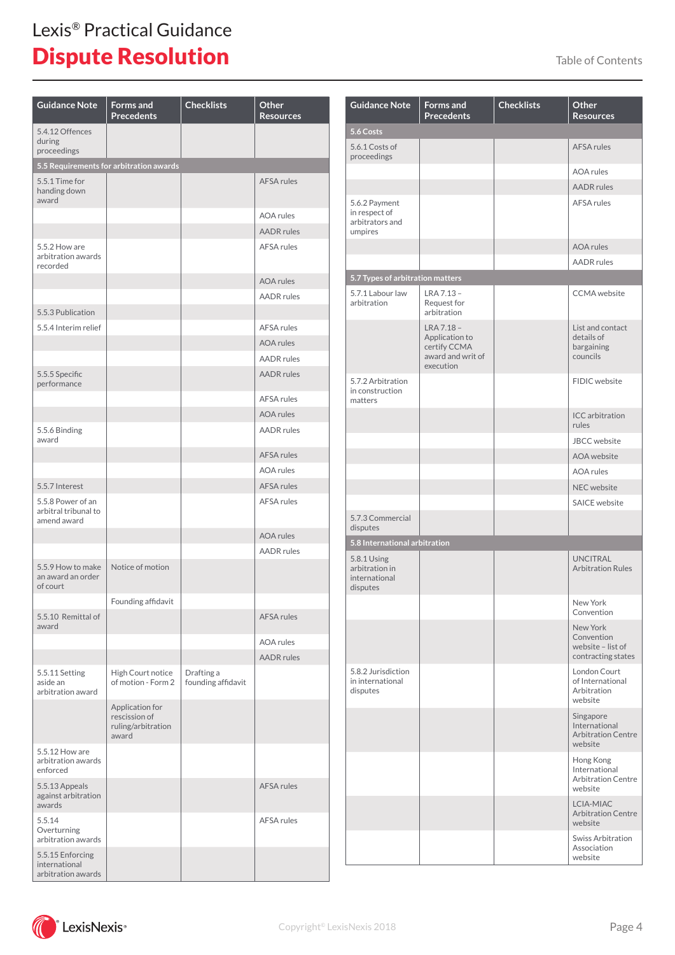| <b>Guidance Note</b>                                     | <b>Forms</b> and<br><b>Precedents</b>                           | <b>Checklists</b>                | Other<br><b>Resources</b> |
|----------------------------------------------------------|-----------------------------------------------------------------|----------------------------------|---------------------------|
| 5.4.12 Offences<br>during<br>proceedings                 |                                                                 |                                  |                           |
|                                                          | 5.5 Requirements for arbitration awards                         |                                  |                           |
| 5.5.1 Time for<br>handing down<br>award                  |                                                                 |                                  | <b>AFSA rules</b>         |
|                                                          |                                                                 |                                  | <b>AOA</b> rules          |
|                                                          |                                                                 |                                  | <b>AADR</b> rules         |
| 5.5.2 How are<br>arbitration awards<br>recorded          |                                                                 |                                  | <b>AFSA rules</b>         |
|                                                          |                                                                 |                                  | <b>AOA</b> rules          |
|                                                          |                                                                 |                                  | <b>AADR</b> rules         |
| 5.5.3 Publication                                        |                                                                 |                                  |                           |
| 5.5.4 Interim relief                                     |                                                                 |                                  | <b>AFSA rules</b>         |
|                                                          |                                                                 |                                  | AOA rules                 |
|                                                          |                                                                 |                                  | <b>AADR</b> rules         |
| 5.5.5 Specific<br>performance                            |                                                                 |                                  | <b>AADR</b> rules         |
|                                                          |                                                                 |                                  | AFSA rules                |
|                                                          |                                                                 |                                  | <b>AOA</b> rules          |
| 5.5.6 Binding<br>award                                   |                                                                 |                                  | <b>AADR</b> rules         |
|                                                          |                                                                 |                                  | <b>AFSA rules</b>         |
|                                                          |                                                                 |                                  | AOA rules                 |
| 5.5.7 Interest                                           |                                                                 |                                  | <b>AFSA rules</b>         |
| 5.5.8 Power of an<br>arbitral tribunal to<br>amend award |                                                                 |                                  | <b>AFSA rules</b>         |
|                                                          |                                                                 |                                  | <b>AOA</b> rules          |
|                                                          |                                                                 |                                  | <b>AADR</b> rules         |
| 5.5.9 How to make<br>an award an order<br>of court       | Notice of motion                                                |                                  |                           |
|                                                          | Founding affidavit                                              |                                  |                           |
| 5.5.10 Remittal of<br>award                              |                                                                 |                                  | <b>AFSA rules</b>         |
|                                                          |                                                                 |                                  | AOA rules                 |
|                                                          |                                                                 |                                  | <b>AADR</b> rules         |
| 5.5.11 Setting<br>aside an<br>arbitration award          | High Court notice<br>of motion - Form 2                         | Drafting a<br>founding affidavit |                           |
|                                                          | Application for<br>rescission of<br>ruling/arbitration<br>award |                                  |                           |
| 5.5.12 How are<br>arbitration awards<br>enforced         |                                                                 |                                  |                           |
| 5.5.13 Appeals<br>against arbitration<br>awards          |                                                                 |                                  | <b>AFSA rules</b>         |
| 5.5.14<br>Overturning<br>arbitration awards              |                                                                 |                                  | AFSA rules                |
| 5.5.15 Enforcing<br>international<br>arbitration awards  |                                                                 |                                  |                           |

| <b>Guidance Note</b>                                         | <b>Forms</b> and<br><b>Precedents</b>                                          | <b>Checklists</b> | Other<br><b>Resources</b>                                          |
|--------------------------------------------------------------|--------------------------------------------------------------------------------|-------------------|--------------------------------------------------------------------|
| 5.6 Costs                                                    |                                                                                |                   |                                                                    |
| 5.6.1 Costs of<br>proceedings                                |                                                                                |                   | <b>AFSA rules</b>                                                  |
|                                                              |                                                                                |                   | <b>AOA</b> rules                                                   |
|                                                              |                                                                                |                   | <b>AADR</b> rules                                                  |
| 5.6.2 Payment<br>in respect of<br>arbitrators and<br>umpires |                                                                                |                   | AFSA rules                                                         |
|                                                              |                                                                                |                   | <b>AOA</b> rules                                                   |
|                                                              |                                                                                |                   | <b>AADR</b> rules                                                  |
| 5.7 Types of arbitration matters                             |                                                                                |                   |                                                                    |
| 5.7.1 Labour law<br>arbitration                              | LRA 7.13 -<br>Request for<br>arbitration                                       |                   | <b>CCMA</b> website                                                |
|                                                              | LRA 7.18 -<br>Application to<br>certify CCMA<br>award and writ of<br>execution |                   | List and contact<br>details of<br>bargaining<br>councils           |
| 5.7.2 Arbitration<br>in construction<br>matters              |                                                                                |                   | FIDIC website                                                      |
|                                                              |                                                                                |                   | ICC arbitration<br>rules                                           |
|                                                              |                                                                                |                   | <b>JBCC</b> website                                                |
|                                                              |                                                                                |                   | AOA website                                                        |
|                                                              |                                                                                |                   | <b>AOA</b> rules                                                   |
|                                                              |                                                                                |                   | <b>NEC</b> website                                                 |
|                                                              |                                                                                |                   | <b>SAICE</b> website                                               |
| 5.7.3 Commercial<br>disputes                                 |                                                                                |                   |                                                                    |
| 5.8 International arbitration                                |                                                                                |                   |                                                                    |
| 5.8.1 Using<br>arbitration in<br>international<br>disputes   |                                                                                |                   | <b>UNCITRAL</b><br><b>Arbitration Rules</b>                        |
|                                                              |                                                                                |                   | New York<br>Convention                                             |
|                                                              |                                                                                |                   | New York<br>Convention<br>website - list of<br>contracting states  |
| 5.8.2 Jurisdiction<br>in international<br>disputes           |                                                                                |                   | London Court<br>of International<br>Arbitration<br>website         |
|                                                              |                                                                                |                   | Singapore<br>International<br><b>Arbitration Centre</b><br>website |
|                                                              |                                                                                |                   | Hong Kong<br>International<br><b>Arbitration Centre</b><br>website |
|                                                              |                                                                                |                   | LCIA-MIAC<br><b>Arbitration Centre</b><br>website                  |
|                                                              |                                                                                |                   | Swiss Arbitration<br>Association<br>website                        |